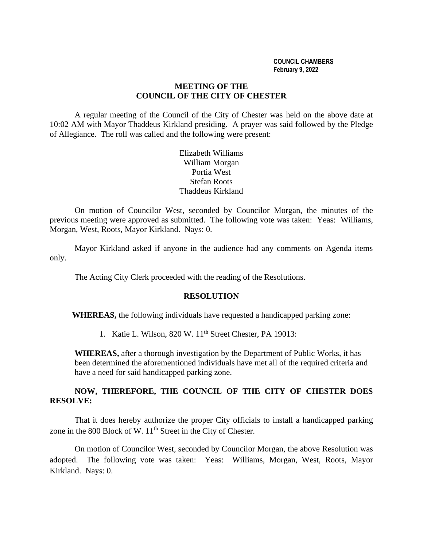#### **COUNCIL CHAMBERS February 9, 2022**

## **MEETING OF THE COUNCIL OF THE CITY OF CHESTER**

A regular meeting of the Council of the City of Chester was held on the above date at 10:02 AM with Mayor Thaddeus Kirkland presiding. A prayer was said followed by the Pledge of Allegiance. The roll was called and the following were present:

> Elizabeth Williams William Morgan Portia West Stefan Roots Thaddeus Kirkland

On motion of Councilor West, seconded by Councilor Morgan, the minutes of the previous meeting were approved as submitted. The following vote was taken: Yeas: Williams, Morgan, West, Roots, Mayor Kirkland. Nays: 0.

Mayor Kirkland asked if anyone in the audience had any comments on Agenda items only.

The Acting City Clerk proceeded with the reading of the Resolutions.

#### **RESOLUTION**

**WHEREAS,** the following individuals have requested a handicapped parking zone:

1. Katie L. Wilson, 820 W. 11<sup>th</sup> Street Chester, PA 19013:

**WHEREAS,** after a thorough investigation by the Department of Public Works, it has been determined the aforementioned individuals have met all of the required criteria and have a need for said handicapped parking zone.

## **NOW, THEREFORE, THE COUNCIL OF THE CITY OF CHESTER DOES RESOLVE:**

That it does hereby authorize the proper City officials to install a handicapped parking zone in the 800 Block of W.  $11<sup>th</sup>$  Street in the City of Chester.

On motion of Councilor West, seconded by Councilor Morgan, the above Resolution was adopted. The following vote was taken: Yeas: Williams, Morgan, West, Roots, Mayor Kirkland. Nays: 0.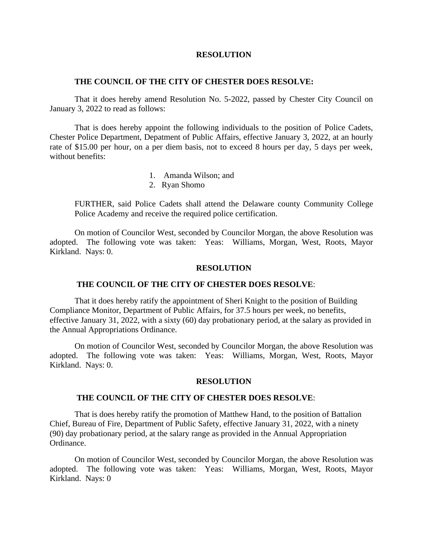#### **RESOLUTION**

#### **THE COUNCIL OF THE CITY OF CHESTER DOES RESOLVE:**

That it does hereby amend Resolution No. 5-2022, passed by Chester City Council on January 3, 2022 to read as follows:

That is does hereby appoint the following individuals to the position of Police Cadets, Chester Police Department, Depatment of Public Affairs, effective January 3, 2022, at an hourly rate of \$15.00 per hour, on a per diem basis, not to exceed 8 hours per day, 5 days per week, without benefits:

- 1. Amanda Wilson; and
- 2. Ryan Shomo

FURTHER, said Police Cadets shall attend the Delaware county Community College Police Academy and receive the required police certification.

On motion of Councilor West, seconded by Councilor Morgan, the above Resolution was adopted. The following vote was taken: Yeas: Williams, Morgan, West, Roots, Mayor Kirkland. Nays: 0.

#### **RESOLUTION**

### **THE COUNCIL OF THE CITY OF CHESTER DOES RESOLVE**:

That it does hereby ratify the appointment of Sheri Knight to the position of Building Compliance Monitor, Department of Public Affairs, for 37.5 hours per week, no benefits, effective January 31, 2022, with a sixty (60) day probationary period, at the salary as provided in the Annual Appropriations Ordinance.

On motion of Councilor West, seconded by Councilor Morgan, the above Resolution was adopted. The following vote was taken: Yeas: Williams, Morgan, West, Roots, Mayor Kirkland. Nays: 0.

#### **RESOLUTION**

#### **THE COUNCIL OF THE CITY OF CHESTER DOES RESOLVE**:

That is does hereby ratify the promotion of Matthew Hand, to the position of Battalion Chief, Bureau of Fire, Department of Public Safety, effective January 31, 2022, with a ninety (90) day probationary period, at the salary range as provided in the Annual Appropriation Ordinance.

On motion of Councilor West, seconded by Councilor Morgan, the above Resolution was adopted. The following vote was taken: Yeas: Williams, Morgan, West, Roots, Mayor Kirkland. Nays: 0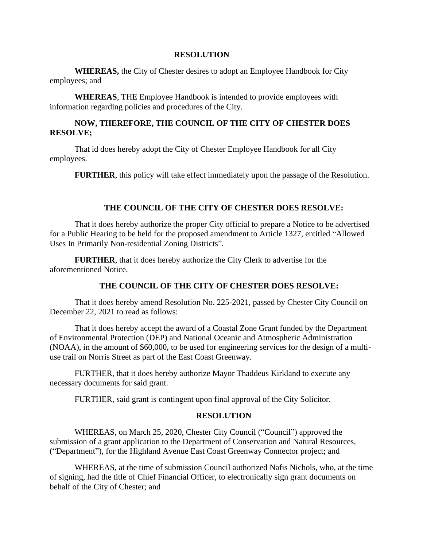#### **RESOLUTION**

**WHEREAS,** the City of Chester desires to adopt an Employee Handbook for City employees; and

**WHEREAS**, THE Employee Handbook is intended to provide employees with information regarding policies and procedures of the City.

## **NOW, THEREFORE, THE COUNCIL OF THE CITY OF CHESTER DOES RESOLVE;**

That id does hereby adopt the City of Chester Employee Handbook for all City employees.

**FURTHER**, this policy will take effect immediately upon the passage of the Resolution.

## **THE COUNCIL OF THE CITY OF CHESTER DOES RESOLVE:**

That it does hereby authorize the proper City official to prepare a Notice to be advertised for a Public Hearing to be held for the proposed amendment to Article 1327, entitled "Allowed Uses In Primarily Non-residential Zoning Districts".

**FURTHER**, that it does hereby authorize the City Clerk to advertise for the aforementioned Notice.

## **THE COUNCIL OF THE CITY OF CHESTER DOES RESOLVE:**

That it does hereby amend Resolution No. 225-2021, passed by Chester City Council on December 22, 2021 to read as follows:

That it does hereby accept the award of a Coastal Zone Grant funded by the Department of Environmental Protection (DEP) and National Oceanic and Atmospheric Administration (NOAA), in the amount of \$60,000, to be used for engineering services for the design of a multiuse trail on Norris Street as part of the East Coast Greenway.

FURTHER, that it does hereby authorize Mayor Thaddeus Kirkland to execute any necessary documents for said grant.

FURTHER, said grant is contingent upon final approval of the City Solicitor.

## **RESOLUTION**

WHEREAS, on March 25, 2020, Chester City Council ("Council") approved the submission of a grant application to the Department of Conservation and Natural Resources, ("Department"), for the Highland Avenue East Coast Greenway Connector project; and

WHEREAS, at the time of submission Council authorized Nafis Nichols, who, at the time of signing, had the title of Chief Financial Officer, to electronically sign grant documents on behalf of the City of Chester; and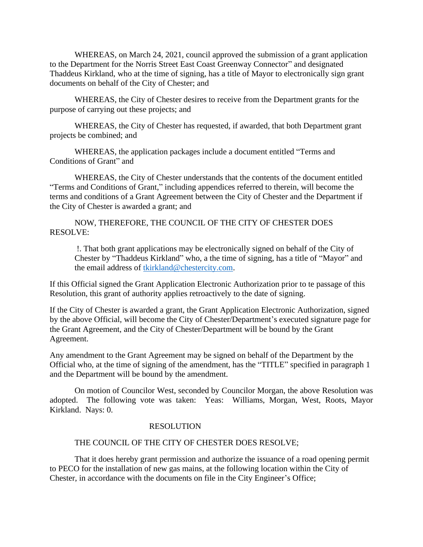WHEREAS, on March 24, 2021, council approved the submission of a grant application to the Department for the Norris Street East Coast Greenway Connector" and designated Thaddeus Kirkland, who at the time of signing, has a title of Mayor to electronically sign grant documents on behalf of the City of Chester; and

WHEREAS, the City of Chester desires to receive from the Department grants for the purpose of carrying out these projects; and

WHEREAS, the City of Chester has requested, if awarded, that both Department grant projects be combined; and

WHEREAS, the application packages include a document entitled "Terms and Conditions of Grant" and

WHEREAS, the City of Chester understands that the contents of the document entitled "Terms and Conditions of Grant," including appendices referred to therein, will become the terms and conditions of a Grant Agreement between the City of Chester and the Department if the City of Chester is awarded a grant; and

NOW, THEREFORE, THE COUNCIL OF THE CITY OF CHESTER DOES RESOLVE:

!. That both grant applications may be electronically signed on behalf of the City of Chester by "Thaddeus Kirkland" who, a the time of signing, has a title of "Mayor" and the email address of [tkirkland@chestercity.com.](mailto:tkirkland@chestercity.com)

If this Official signed the Grant Application Electronic Authorization prior to te passage of this Resolution, this grant of authority applies retroactively to the date of signing.

If the City of Chester is awarded a grant, the Grant Application Electronic Authorization, signed by the above Official, will become the City of Chester/Department's executed signature page for the Grant Agreement, and the City of Chester/Department will be bound by the Grant Agreement.

Any amendment to the Grant Agreement may be signed on behalf of the Department by the Official who, at the time of signing of the amendment, has the "TITLE" specified in paragraph 1 and the Department will be bound by the amendment.

On motion of Councilor West, seconded by Councilor Morgan, the above Resolution was adopted. The following vote was taken: Yeas: Williams, Morgan, West, Roots, Mayor Kirkland. Nays: 0.

#### RESOLUTION

### THE COUNCIL OF THE CITY OF CHESTER DOES RESOLVE;

That it does hereby grant permission and authorize the issuance of a road opening permit to PECO for the installation of new gas mains, at the following location within the City of Chester, in accordance with the documents on file in the City Engineer's Office;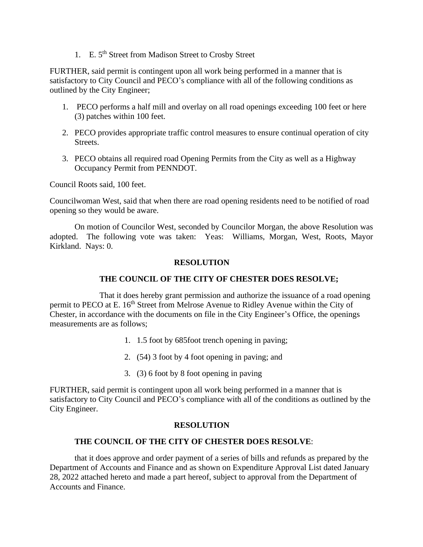1. E. 5th Street from Madison Street to Crosby Street

FURTHER, said permit is contingent upon all work being performed in a manner that is satisfactory to City Council and PECO's compliance with all of the following conditions as outlined by the City Engineer;

- 1. PECO performs a half mill and overlay on all road openings exceeding 100 feet or here (3) patches within 100 feet.
- 2. PECO provides appropriate traffic control measures to ensure continual operation of city Streets.
- 3. PECO obtains all required road Opening Permits from the City as well as a Highway Occupancy Permit from PENNDOT.

Council Roots said, 100 feet.

Councilwoman West, said that when there are road opening residents need to be notified of road opening so they would be aware.

On motion of Councilor West, seconded by Councilor Morgan, the above Resolution was adopted. The following vote was taken: Yeas: Williams, Morgan, West, Roots, Mayor Kirkland. Nays: 0.

## **RESOLUTION**

## **THE COUNCIL OF THE CITY OF CHESTER DOES RESOLVE;**

That it does hereby grant permission and authorize the issuance of a road opening permit to PECO at E. 16<sup>th</sup> Street from Melrose Avenue to Ridley Avenue within the City of Chester, in accordance with the documents on file in the City Engineer's Office, the openings measurements are as follows;

- 1. 1.5 foot by 685foot trench opening in paving;
- 2. (54) 3 foot by 4 foot opening in paving; and
- 3. (3) 6 foot by 8 foot opening in paving

FURTHER, said permit is contingent upon all work being performed in a manner that is satisfactory to City Council and PECO's compliance with all of the conditions as outlined by the City Engineer.

#### **RESOLUTION**

#### **THE COUNCIL OF THE CITY OF CHESTER DOES RESOLVE**:

that it does approve and order payment of a series of bills and refunds as prepared by the Department of Accounts and Finance and as shown on Expenditure Approval List dated January 28, 2022 attached hereto and made a part hereof, subject to approval from the Department of Accounts and Finance.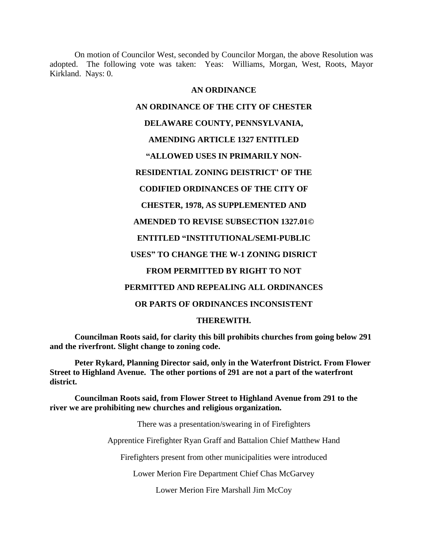On motion of Councilor West, seconded by Councilor Morgan, the above Resolution was adopted. The following vote was taken: Yeas: Williams, Morgan, West, Roots, Mayor Kirkland. Nays: 0.

## **AN ORDINANCE**

# **AN ORDINANCE OF THE CITY OF CHESTER**

## **DELAWARE COUNTY, PENNSYLVANIA,**

## **AMENDING ARTICLE 1327 ENTITLED**

# **"ALLOWED USES IN PRIMARILY NON-**

# **RESIDENTIAL ZONING DEISTRICT' OF THE**

# **CODIFIED ORDINANCES OF THE CITY OF**

## **CHESTER, 1978, AS SUPPLEMENTED AND**

# **AMENDED TO REVISE SUBSECTION 1327.01©**

# **ENTITLED "INSTITUTIONAL/SEMI-PUBLIC**

# **USES" TO CHANGE THE W-1 ZONING DISRICT**

## **FROM PERMITTED BY RIGHT TO NOT**

# **PERMITTED AND REPEALING ALL ORDINANCES**

## **OR PARTS OF ORDINANCES INCONSISTENT**

## **THEREWITH.**

**Councilman Roots said, for clarity this bill prohibits churches from going below 291 and the riverfront. Slight change to zoning code.**

**Peter Rykard, Planning Director said, only in the Waterfront District. From Flower Street to Highland Avenue. The other portions of 291 are not a part of the waterfront district.**

**Councilman Roots said, from Flower Street to Highland Avenue from 291 to the river we are prohibiting new churches and religious organization.**

There was a presentation/swearing in of Firefighters

Apprentice Firefighter Ryan Graff and Battalion Chief Matthew Hand

Firefighters present from other municipalities were introduced

Lower Merion Fire Department Chief Chas McGarvey

Lower Merion Fire Marshall Jim McCoy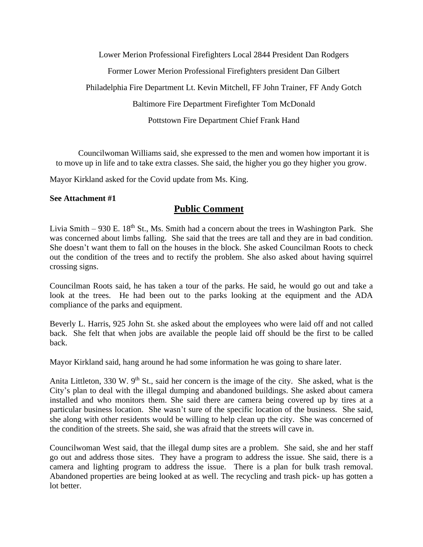Lower Merion Professional Firefighters Local 2844 President Dan Rodgers Former Lower Merion Professional Firefighters president Dan Gilbert Philadelphia Fire Department Lt. Kevin Mitchell, FF John Trainer, FF Andy Gotch Baltimore Fire Department Firefighter Tom McDonald Pottstown Fire Department Chief Frank Hand

Councilwoman Williams said, she expressed to the men and women how important it is to move up in life and to take extra classes. She said, the higher you go they higher you grow.

Mayor Kirkland asked for the Covid update from Ms. King.

## **See Attachment #1**

# **Public Comment**

Livia Smith – 930 E.  $18<sup>th</sup>$  St., Ms. Smith had a concern about the trees in Washington Park. She was concerned about limbs falling. She said that the trees are tall and they are in bad condition. She doesn't want them to fall on the houses in the block. She asked Councilman Roots to check out the condition of the trees and to rectify the problem. She also asked about having squirrel crossing signs.

Councilman Roots said, he has taken a tour of the parks. He said, he would go out and take a look at the trees. He had been out to the parks looking at the equipment and the ADA compliance of the parks and equipment.

Beverly L. Harris, 925 John St. she asked about the employees who were laid off and not called back. She felt that when jobs are available the people laid off should be the first to be called back.

Mayor Kirkland said, hang around he had some information he was going to share later.

Anita Littleton, 330 W. 9<sup>th</sup> St., said her concern is the image of the city. She asked, what is the City's plan to deal with the illegal dumping and abandoned buildings. She asked about camera installed and who monitors them. She said there are camera being covered up by tires at a particular business location. She wasn't sure of the specific location of the business. She said, she along with other residents would be willing to help clean up the city. She was concerned of the condition of the streets. She said, she was afraid that the streets will cave in.

Councilwoman West said, that the illegal dump sites are a problem. She said, she and her staff go out and address those sites. They have a program to address the issue. She said, there is a camera and lighting program to address the issue. There is a plan for bulk trash removal. Abandoned properties are being looked at as well. The recycling and trash pick- up has gotten a lot better.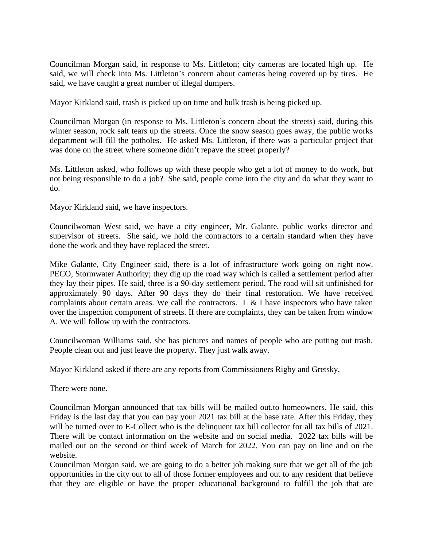Councilman Morgan said, in response to Ms. Littleton; city cameras are located high up. He said, we will check into Ms. Littleton's concern about cameras being covered up by tires. He said, we have caught a great number of illegal dumpers.

Mayor Kirkland said, trash is picked up on time and bulk trash is being picked up.

Councilman Morgan (in response to Ms. Littleton's concern about the streets) said, during this winter season, rock salt tears up the streets. Once the snow season goes away, the public works department will fill the potholes. He asked Ms. Littleton, if there was a particular project that was done on the street where someone didn't repave the street properly?

Ms. Littleton asked, who follows up with these people who get a lot of money to do work, but not being responsible to do a job? She said, people come into the city and do what they want to do.

Mayor Kirkland said, we have inspectors.

Councilwoman West said, we have a city engineer, Mr. Galante, public works director and supervisor of streets. She said, we hold the contractors to a certain standard when they have done the work and they have replaced the street.

Mike Galante, City Engineer said, there is a lot of infrastructure work going on right now. PECO, Stormwater Authority; they dig up the road way which is called a settlement period after they lay their pipes. He said, three is a 90-day settlement period. The road will sit unfinished for approximately 90 days. After 90 days they do their final restoration. We have received complaints about certain areas. We call the contractors. L  $\&$  I have inspectors who have taken over the inspection component of streets. If there are complaints, they can be taken from window A. We will follow up with the contractors.

Councilwoman Williams said, she has pictures and names of people who are putting out trash. People clean out and just leave the property. They just walk away.

Mayor Kirkland asked if there are any reports from Commissioners Rigby and Gretsky,

There were none.

Councilman Morgan announced that tax bills will be mailed out.to homeowners. He said, this Friday is the last day that you can pay your 2021 tax bill at the base rate. After this Friday, they will be turned over to E-Collect who is the delinquent tax bill collector for all tax bills of 2021. There will be contact information on the website and on social media. 2022 tax bills will be mailed out on the second or third week of March for 2022. You can pay on line and on the website.

Councilman Morgan said, we are going to do a better job making sure that we get all of the job opportunities in the city out to all of those former employees and out to any resident that believe that they are eligible or have the proper educational background to fulfill the job that are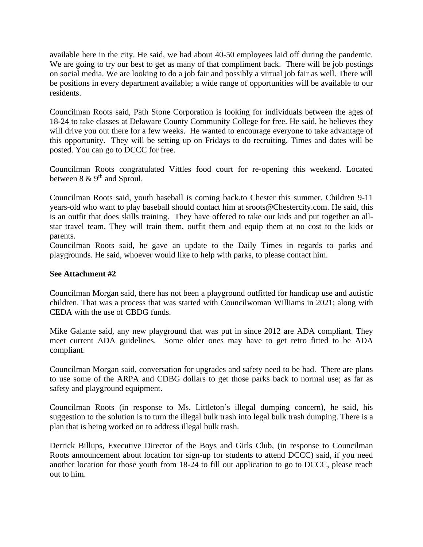available here in the city. He said, we had about 40-50 employees laid off during the pandemic. We are going to try our best to get as many of that compliment back. There will be job postings on social media. We are looking to do a job fair and possibly a virtual job fair as well. There will be positions in every department available; a wide range of opportunities will be available to our residents.

Councilman Roots said, Path Stone Corporation is looking for individuals between the ages of 18-24 to take classes at Delaware County Community College for free. He said, he believes they will drive you out there for a few weeks. He wanted to encourage everyone to take advantage of this opportunity. They will be setting up on Fridays to do recruiting. Times and dates will be posted. You can go to DCCC for free.

Councilman Roots congratulated Vittles food court for re-opening this weekend. Located between  $8 \& 9^{th}$  and Sproul.

Councilman Roots said, youth baseball is coming back.to Chester this summer. Children 9-11 years-old who want to play baseball should contact him at sroots@Chestercity.com. He said, this is an outfit that does skills training. They have offered to take our kids and put together an allstar travel team. They will train them, outfit them and equip them at no cost to the kids or parents.

Councilman Roots said, he gave an update to the Daily Times in regards to parks and playgrounds. He said, whoever would like to help with parks, to please contact him.

## **See Attachment #2**

Councilman Morgan said, there has not been a playground outfitted for handicap use and autistic children. That was a process that was started with Councilwoman Williams in 2021; along with CEDA with the use of CBDG funds.

Mike Galante said, any new playground that was put in since 2012 are ADA compliant. They meet current ADA guidelines. Some older ones may have to get retro fitted to be ADA compliant.

Councilman Morgan said, conversation for upgrades and safety need to be had. There are plans to use some of the ARPA and CDBG dollars to get those parks back to normal use; as far as safety and playground equipment.

Councilman Roots (in response to Ms. Littleton's illegal dumping concern), he said, his suggestion to the solution is to turn the illegal bulk trash into legal bulk trash dumping. There is a plan that is being worked on to address illegal bulk trash.

Derrick Billups, Executive Director of the Boys and Girls Club, (in response to Councilman Roots announcement about location for sign-up for students to attend DCCC) said, if you need another location for those youth from 18-24 to fill out application to go to DCCC, please reach out to him.